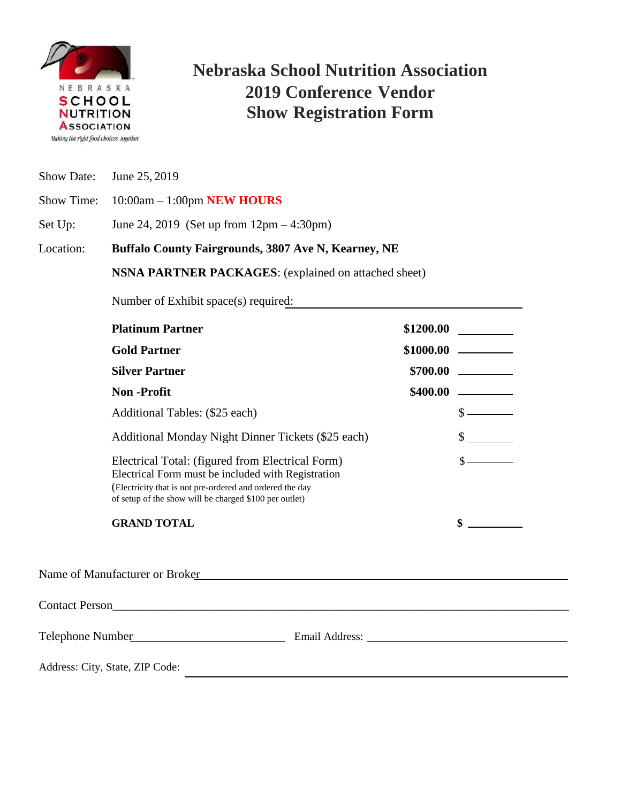

## **Nebraska School Nutrition Association 2019 Conference Vendor Show Registration Form**

Show Date: June 25, 2019

Show Time: 10:00am – 1:00pm **NEW HOURS**

Set Up: June 24, 2019 (Set up from 12pm – 4:30pm)

Location: **Buffalo County Fairgrounds, 3807 Ave N, Kearney, NE**

**NSNA PARTNER PACKAGES**: (explained on attached sheet)

Number of Exhibit space(s) required:

| <b>Platinum Partner</b>                                                                                                                                                                                                      | \$1200.00                   |
|------------------------------------------------------------------------------------------------------------------------------------------------------------------------------------------------------------------------------|-----------------------------|
| <b>Gold Partner</b>                                                                                                                                                                                                          |                             |
| <b>Silver Partner</b>                                                                                                                                                                                                        |                             |
| <b>Non</b> -Profit                                                                                                                                                                                                           |                             |
| Additional Tables: (\$25 each)                                                                                                                                                                                               | $\frac{\text{S}}{\text{S}}$ |
| Additional Monday Night Dinner Tickets (\$25 each)                                                                                                                                                                           | $\sim$                      |
| Electrical Total: (figured from Electrical Form)<br>Electrical Form must be included with Registration<br>(Electricity that is not pre-ordered and ordered the day<br>of setup of the show will be charged \$100 per outlet) | $\sim$                      |
| <b>GRAND TOTAL</b>                                                                                                                                                                                                           |                             |
| Name of Manufacturer or Broker Manufacturer of Broker                                                                                                                                                                        |                             |
|                                                                                                                                                                                                                              |                             |
|                                                                                                                                                                                                                              |                             |
| Address: City, State, ZIP Code:                                                                                                                                                                                              |                             |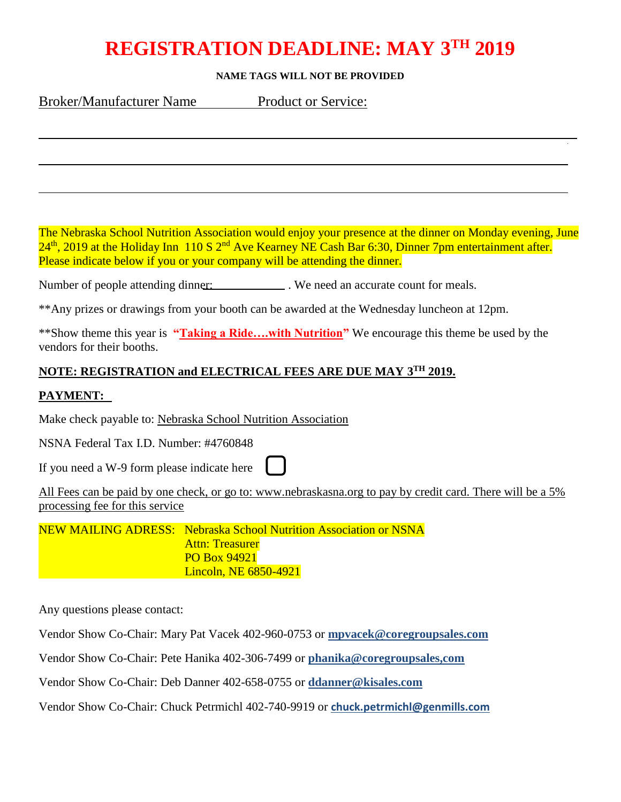# **REGISTRATION DEADLINE: MAY 3 TH 2019**

#### **NAME TAGS WILL NOT BE PROVIDED**

Broker/Manufacturer Name Product or Service:

The Nebraska School Nutrition Association would enjoy your presence at the dinner on Monday evening, June  $24<sup>th</sup>$ , 2019 at the Holiday Inn 110 S  $2<sup>nd</sup>$  Ave Kearney NE Cash Bar 6:30, Dinner 7pm entertainment after. Please indicate below if you or your company will be attending the dinner.

Number of people attending dinner: . We need an accurate count for meals.

\*\*Any prizes or drawings from your booth can be awarded at the Wednesday luncheon at 12pm.

\*\*Show theme this year is **"Taking a Ride….with Nutrition"** We encourage this theme be used by the vendors for their booths.

### **NOTE: REGISTRATION and ELECTRICAL FEES ARE DUE MAY 3 TH 2019.**

### **PAYMENT:**

Make check payable to: Nebraska School Nutrition Association

NSNA Federal Tax I.D. Number: #4760848

If you need a W-9 form please indicate here

All Fees can be paid by one check, or go to: www.nebraskasna.org to pay by credit card. There will be a 5% processing fee for this service

NEW MAILING ADRESS: Nebraska School Nutrition Association or NSNA Attn: Treasurer PO Box 94921 Lincoln, NE 6850-4921

Any questions please contact:

Vendor Show Co-Chair: Mary Pat Vacek 402-960-0753 or **[mpvacek@coregroupsales.com](mailto:mpvacek@coregroupsales.com)**

Vendor Show Co-Chair: Pete Hanika 402-306-7499 or **phanika@coregroupsales,com**

Vendor Show Co-Chair: Deb Danner 402-658-0755 or **[ddanner@kisales.com](mailto:ddanner@kisales.com)**

Vendor Show Co-Chair: Chuck Petrmichl 402-740-9919 or **[chuck.petrmichl@genmills.com](mailto:chuck.petrmichl@genmills.com)**